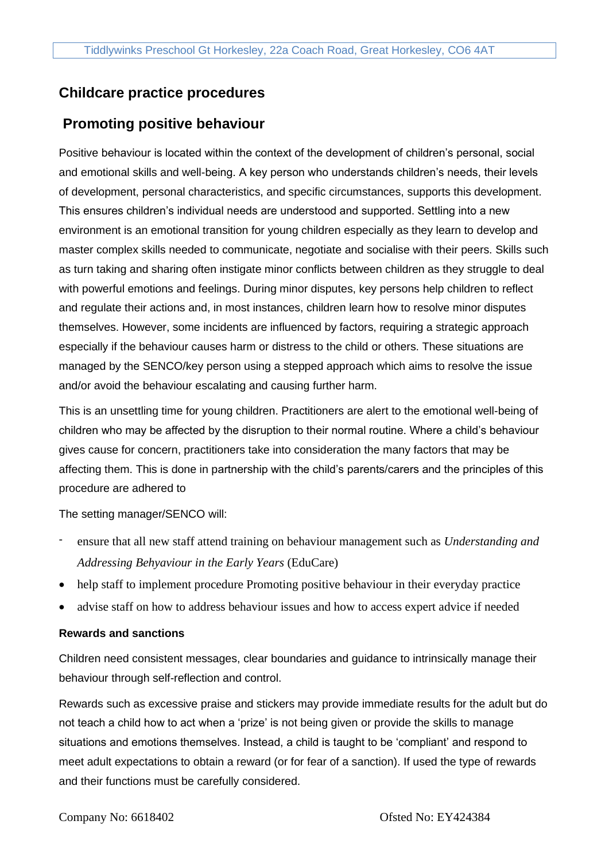# **Childcare practice procedures**

# **Promoting positive behaviour**

Positive behaviour is located within the context of the development of children's personal, social and emotional skills and well-being. A key person who understands children's needs, their levels of development, personal characteristics, and specific circumstances, supports this development. This ensures children's individual needs are understood and supported. Settling into a new environment is an emotional transition for young children especially as they learn to develop and master complex skills needed to communicate, negotiate and socialise with their peers. Skills such as turn taking and sharing often instigate minor conflicts between children as they struggle to deal with powerful emotions and feelings. During minor disputes, key persons help children to reflect and regulate their actions and, in most instances, children learn how to resolve minor disputes themselves. However, some incidents are influenced by factors, requiring a strategic approach especially if the behaviour causes harm or distress to the child or others. These situations are managed by the SENCO/key person using a stepped approach which aims to resolve the issue and/or avoid the behaviour escalating and causing further harm.

This is an unsettling time for young children. Practitioners are alert to the emotional well-being of children who may be affected by the disruption to their normal routine. Where a child's behaviour gives cause for concern, practitioners take into consideration the many factors that may be affecting them. This is done in partnership with the child's parents/carers and the principles of this procedure are adhered to

The setting manager/SENCO will:

- ensure that all new staff attend training on behaviour management such as *Understanding and Addressing Behyaviour in the Early Years* (EduCare)
- help staff to implement procedure Promoting positive behaviour in their everyday practice
- advise staff on how to address behaviour issues and how to access expert advice if needed

## **Rewards and sanctions**

Children need consistent messages, clear boundaries and guidance to intrinsically manage their behaviour through self-reflection and control.

Rewards such as excessive praise and stickers may provide immediate results for the adult but do not teach a child how to act when a 'prize' is not being given or provide the skills to manage situations and emotions themselves. Instead, a child is taught to be 'compliant' and respond to meet adult expectations to obtain a reward (or for fear of a sanction). If used the type of rewards and their functions must be carefully considered.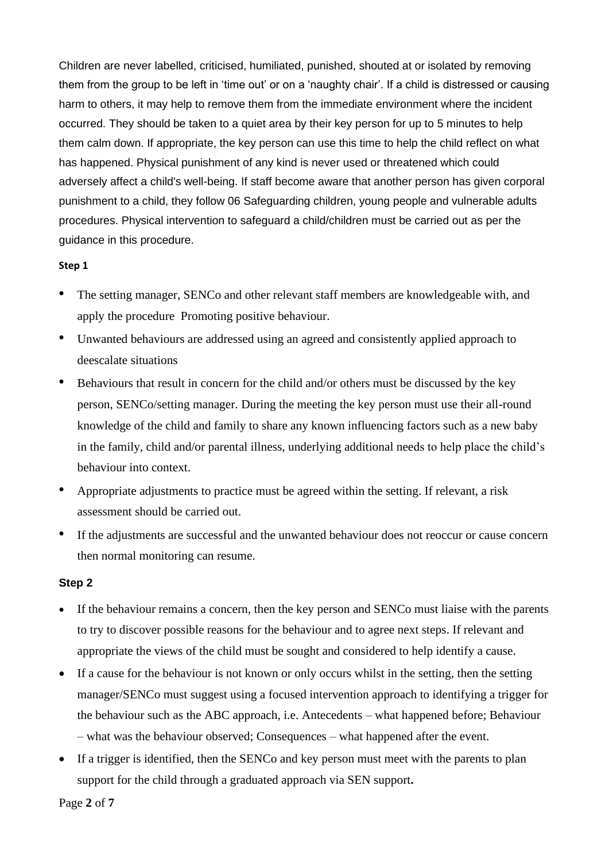Children are never labelled, criticised, humiliated, punished, shouted at or isolated by removing them from the group to be left in 'time out' or on a 'naughty chair'. If a child is distressed or causing harm to others, it may help to remove them from the immediate environment where the incident occurred. They should be taken to a quiet area by their key person for up to 5 minutes to help them calm down. If appropriate, the key person can use this time to help the child reflect on what has happened. Physical punishment of any kind is never used or threatened which could adversely affect a child's well-being. If staff become aware that another person has given corporal punishment to a child, they follow 06 Safeguarding children, young people and vulnerable adults procedures. Physical intervention to safeguard a child/children must be carried out as per the guidance in this procedure.

#### **Step 1**

- The setting manager, SENCo and other relevant staff members are knowledgeable with, and apply the procedure Promoting positive behaviour.
- Unwanted behaviours are addressed using an agreed and consistently applied approach to deescalate situations
- Behaviours that result in concern for the child and/or others must be discussed by the key person, SENCo/setting manager. During the meeting the key person must use their all-round knowledge of the child and family to share any known influencing factors such as a new baby in the family, child and/or parental illness, underlying additional needs to help place the child's behaviour into context.
- Appropriate adjustments to practice must be agreed within the setting. If relevant, a risk assessment should be carried out.
- If the adjustments are successful and the unwanted behaviour does not reoccur or cause concern then normal monitoring can resume.

#### **Step 2**

- If the behaviour remains a concern, then the key person and SENCo must liaise with the parents to try to discover possible reasons for the behaviour and to agree next steps. If relevant and appropriate the views of the child must be sought and considered to help identify a cause.
- If a cause for the behaviour is not known or only occurs whilst in the setting, then the setting manager/SENCo must suggest using a focused intervention approach to identifying a trigger for the behaviour such as the ABC approach, i.e. Antecedents – what happened before; Behaviour – what was the behaviour observed; Consequences – what happened after the event.
- If a trigger is identified, then the SENCo and key person must meet with the parents to plan support for the child through a graduated approach via SEN support**.**

Page **2** of **7**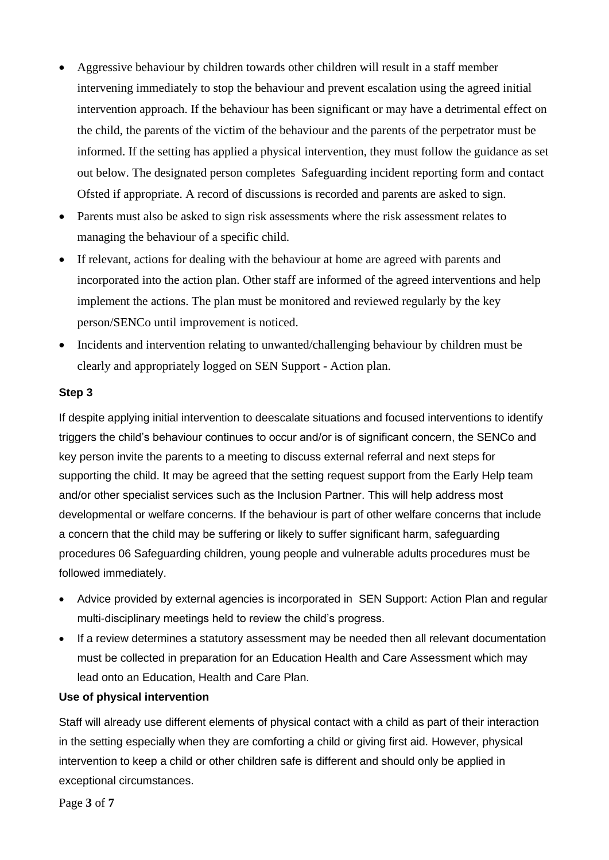- Aggressive behaviour by children towards other children will result in a staff member intervening immediately to stop the behaviour and prevent escalation using the agreed initial intervention approach. If the behaviour has been significant or may have a detrimental effect on the child, the parents of the victim of the behaviour and the parents of the perpetrator must be informed. If the setting has applied a physical intervention, they must follow the guidance as set out below. The designated person completes Safeguarding incident reporting form and contact Ofsted if appropriate. A record of discussions is recorded and parents are asked to sign.
- Parents must also be asked to sign risk assessments where the risk assessment relates to managing the behaviour of a specific child.
- If relevant, actions for dealing with the behaviour at home are agreed with parents and incorporated into the action plan. Other staff are informed of the agreed interventions and help implement the actions. The plan must be monitored and reviewed regularly by the key person/SENCo until improvement is noticed.
- Incidents and intervention relating to unwanted/challenging behaviour by children must be clearly and appropriately logged on SEN Support - Action plan.

#### **Step 3**

If despite applying initial intervention to deescalate situations and focused interventions to identify triggers the child's behaviour continues to occur and/or is of significant concern, the SENCo and key person invite the parents to a meeting to discuss external referral and next steps for supporting the child. It may be agreed that the setting request support from the Early Help team and/or other specialist services such as the Inclusion Partner. This will help address most developmental or welfare concerns. If the behaviour is part of other welfare concerns that include a concern that the child may be suffering or likely to suffer significant harm, safeguarding procedures 06 Safeguarding children, young people and vulnerable adults procedures must be followed immediately.

- Advice provided by external agencies is incorporated in SEN Support: Action Plan and regular multi-disciplinary meetings held to review the child's progress.
- If a review determines a statutory assessment may be needed then all relevant documentation must be collected in preparation for an Education Health and Care Assessment which may lead onto an Education, Health and Care Plan.

## **Use of physical intervention**

Staff will already use different elements of physical contact with a child as part of their interaction in the setting especially when they are comforting a child or giving first aid. However, physical intervention to keep a child or other children safe is different and should only be applied in exceptional circumstances.

Page **3** of **7**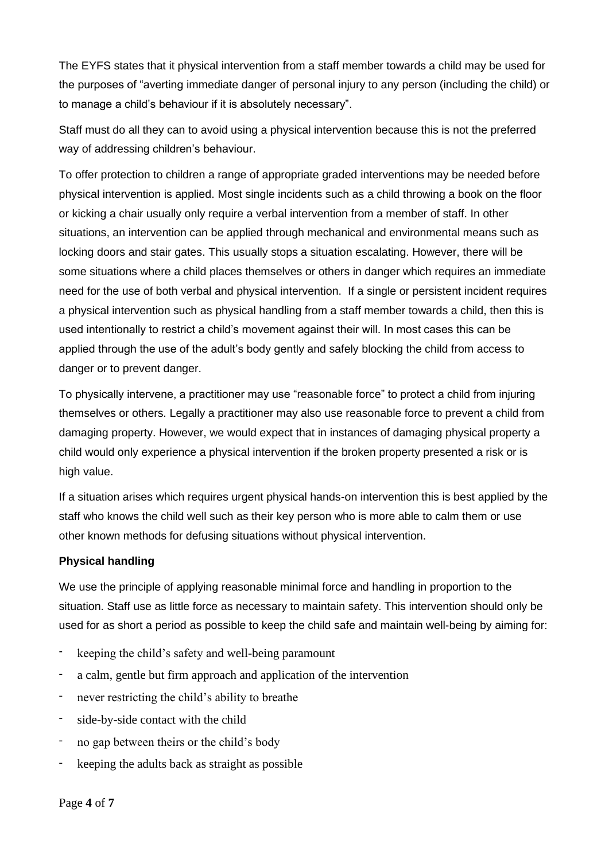The EYFS states that it physical intervention from a staff member towards a child may be used for the purposes of "averting immediate danger of personal injury to any person (including the child) or to manage a child's behaviour if it is absolutely necessary".

Staff must do all they can to avoid using a physical intervention because this is not the preferred way of addressing children's behaviour.

To offer protection to children a range of appropriate graded interventions may be needed before physical intervention is applied. Most single incidents such as a child throwing a book on the floor or kicking a chair usually only require a verbal intervention from a member of staff. In other situations, an intervention can be applied through mechanical and environmental means such as locking doors and stair gates. This usually stops a situation escalating. However, there will be some situations where a child places themselves or others in danger which requires an immediate need for the use of both verbal and physical intervention. If a single or persistent incident requires a physical intervention such as physical handling from a staff member towards a child, then this is used intentionally to restrict a child's movement against their will. In most cases this can be applied through the use of the adult's body gently and safely blocking the child from access to danger or to prevent danger.

To physically intervene, a practitioner may use "reasonable force" to protect a child from injuring themselves or others. Legally a practitioner may also use reasonable force to prevent a child from damaging property. However, we would expect that in instances of damaging physical property a child would only experience a physical intervention if the broken property presented a risk or is high value.

If a situation arises which requires urgent physical hands-on intervention this is best applied by the staff who knows the child well such as their key person who is more able to calm them or use other known methods for defusing situations without physical intervention.

## **Physical handling**

We use the principle of applying reasonable minimal force and handling in proportion to the situation. Staff use as little force as necessary to maintain safety. This intervention should only be used for as short a period as possible to keep the child safe and maintain well-being by aiming for:

- keeping the child's safety and well-being paramount
- a calm, gentle but firm approach and application of the intervention
- never restricting the child's ability to breathe
- side-by-side contact with the child
- no gap between theirs or the child's body
- keeping the adults back as straight as possible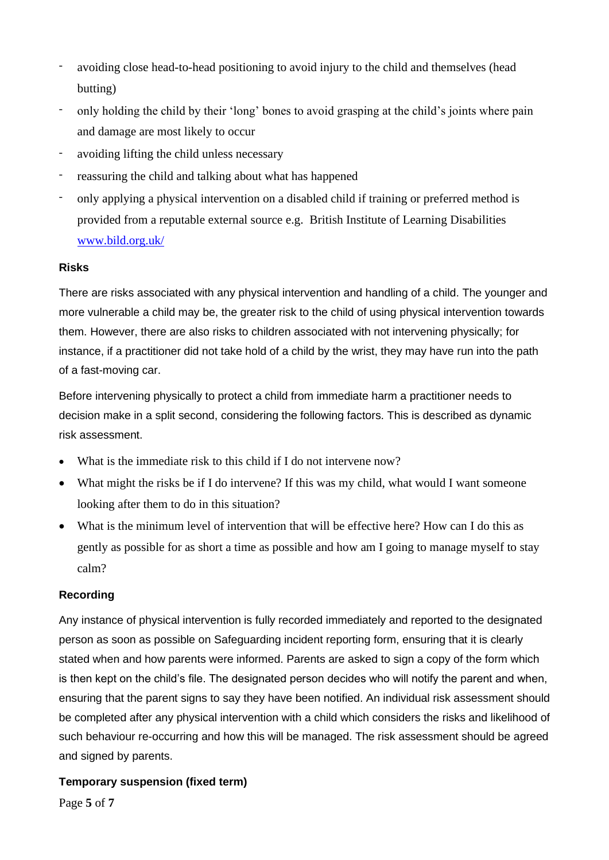- avoiding close head-to-head positioning to avoid injury to the child and themselves (head butting)
- only holding the child by their 'long' bones to avoid grasping at the child's joints where pain and damage are most likely to occur
- avoiding lifting the child unless necessary
- reassuring the child and talking about what has happened
- only applying a physical intervention on a disabled child if training or preferred method is provided from a reputable external source e.g. British Institute of Learning Disabilities [www.bild.org.uk/](http://www.bild.org.uk/)

## **Risks**

There are risks associated with any physical intervention and handling of a child. The younger and more vulnerable a child may be, the greater risk to the child of using physical intervention towards them. However, there are also risks to children associated with not intervening physically; for instance, if a practitioner did not take hold of a child by the wrist, they may have run into the path of a fast-moving car.

Before intervening physically to protect a child from immediate harm a practitioner needs to decision make in a split second, considering the following factors. This is described as dynamic risk assessment.

- What is the immediate risk to this child if I do not intervene now?
- What might the risks be if I do intervene? If this was my child, what would I want someone looking after them to do in this situation?
- What is the minimum level of intervention that will be effective here? How can I do this as gently as possible for as short a time as possible and how am I going to manage myself to stay calm?

## **Recording**

Any instance of physical intervention is fully recorded immediately and reported to the designated person as soon as possible on Safeguarding incident reporting form, ensuring that it is clearly stated when and how parents were informed. Parents are asked to sign a copy of the form which is then kept on the child's file. The designated person decides who will notify the parent and when, ensuring that the parent signs to say they have been notified. An individual risk assessment should be completed after any physical intervention with a child which considers the risks and likelihood of such behaviour re-occurring and how this will be managed. The risk assessment should be agreed and signed by parents.

## **Temporary suspension (fixed term)**

Page **5** of **7**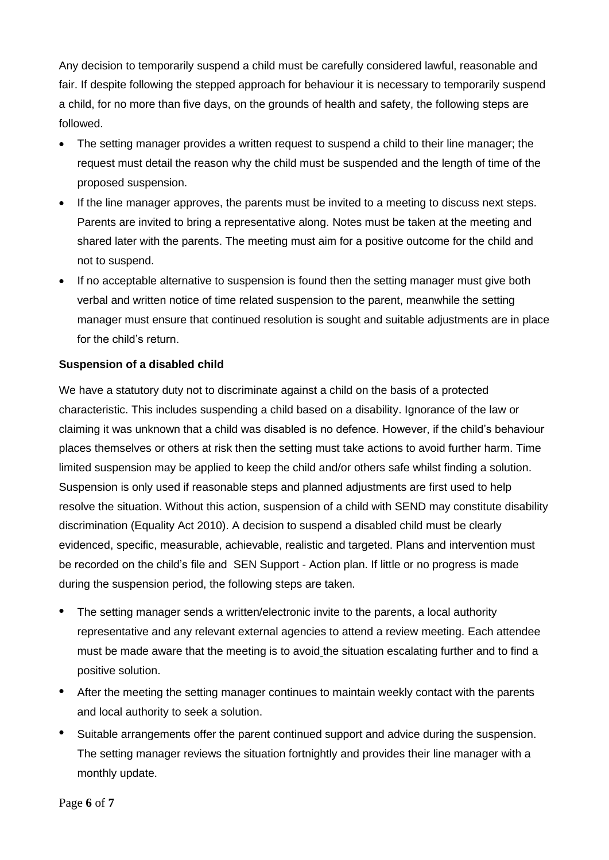Any decision to temporarily suspend a child must be carefully considered lawful, reasonable and fair. If despite following the stepped approach for behaviour it is necessary to temporarily suspend a child, for no more than five days, on the grounds of health and safety, the following steps are followed.

- The setting manager provides a written request to suspend a child to their line manager; the request must detail the reason why the child must be suspended and the length of time of the proposed suspension.
- If the line manager approves, the parents must be invited to a meeting to discuss next steps. Parents are invited to bring a representative along. Notes must be taken at the meeting and shared later with the parents. The meeting must aim for a positive outcome for the child and not to suspend.
- If no acceptable alternative to suspension is found then the setting manager must give both verbal and written notice of time related suspension to the parent, meanwhile the setting manager must ensure that continued resolution is sought and suitable adjustments are in place for the child's return.

## **Suspension of a disabled child**

We have a statutory duty not to discriminate against a child on the basis of a protected characteristic. This includes suspending a child based on a disability. Ignorance of the law or claiming it was unknown that a child was disabled is no defence. However, if the child's behaviour places themselves or others at risk then the setting must take actions to avoid further harm. Time limited suspension may be applied to keep the child and/or others safe whilst finding a solution. Suspension is only used if reasonable steps and planned adjustments are first used to help resolve the situation. Without this action, suspension of a child with SEND may constitute disability discrimination (Equality Act 2010). A decision to suspend a disabled child must be clearly evidenced, specific, measurable, achievable, realistic and targeted. Plans and intervention must be recorded on the child's file and SEN Support - Action plan. If little or no progress is made during the suspension period, the following steps are taken.

- The setting manager sends a written/electronic invite to the parents, a local authority representative and any relevant external agencies to attend a review meeting. Each attendee must be made aware that the meeting is to avoid the situation escalating further and to find a positive solution.
- After the meeting the setting manager continues to maintain weekly contact with the parents and local authority to seek a solution.
- Suitable arrangements offer the parent continued support and advice during the suspension. The setting manager reviews the situation fortnightly and provides their line manager with a monthly update.

Page **6** of **7**